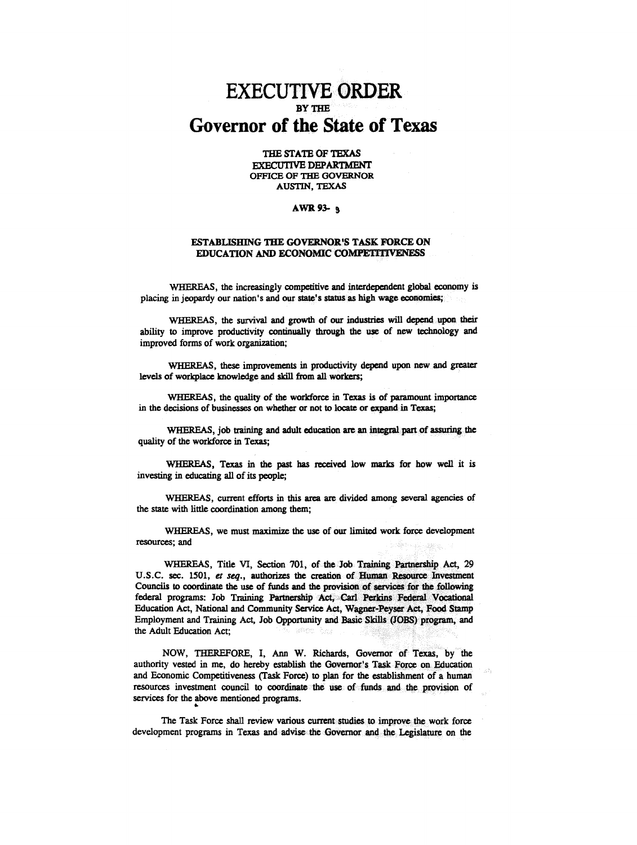## **EXECUTIVE ORDER Governor of the State of Texas**

THE STATE OF TEXAS **EXECUTIVE DEPARTMENT** OFFICE OF THE GOVERNOR **AUSTIN, TEXAS** 

## **AWR 93- a**

## ESTABLISHING THE GOVERNOR'S TASK FORCE ON EDUCATION AND ECONOMIC COMPETITIVENESS

WHEREAS, the increasingly competitive and interdependent global economy is placing in jeopardy our nation's and our state's status as high wage economies;

WHEREAS, the survival and growth of our industries will depend upon their ability to improve productivity continually through the use of new technology and improved forms of work organization;

WHEREAS, these improvements in productivity depend upon new and greater levels of workplace knowledge and skill from all workers;

WHEREAS, the quality of the workforce in Texas is of paramount importance in the decisions of businesses on whether or not to locate or expand in Texas;

WHEREAS, job training and adult education are an integral part of assuring the quality of the workforce in Texas:

WHEREAS, Texas in the past has received low marks for how well it is investing in educating all of its people;

WHEREAS, current efforts in this area are divided among several agencies of the state with little coordination among them;

WHEREAS, we must maximize the use of our limited work force development resources: and

WHEREAS, Title VI, Section 701, of the Job Training Partnership Act, 29 U.S.C. sec. 1501, et seq., authorizes the creation of Human Resource Investment Councils to coordinate the use of funds and the provision of services for the following federal programs: Job Training Partnership Act, Carl Perkins Federal Vocational Education Act, National and Community Service Act, Wagner-Peyser Act, Food Stamp Employment and Training Act, Job Opportunity and Basic Skills (JOBS) program, and the Adult Education Act:

NOW, THEREFORE, I, Ann W. Richards, Governor of Texas, by the authority vested in me, do hereby establish the Governor's Task Force on Education and Economic Competitiveness (Task Force) to plan for the establishment of a human resources investment council to coordinate the use of funds and the provision of services for the above mentioned programs.

The Task Force shall review various current studies to improve the work force development programs in Texas and advise the Governor and the Legislature on the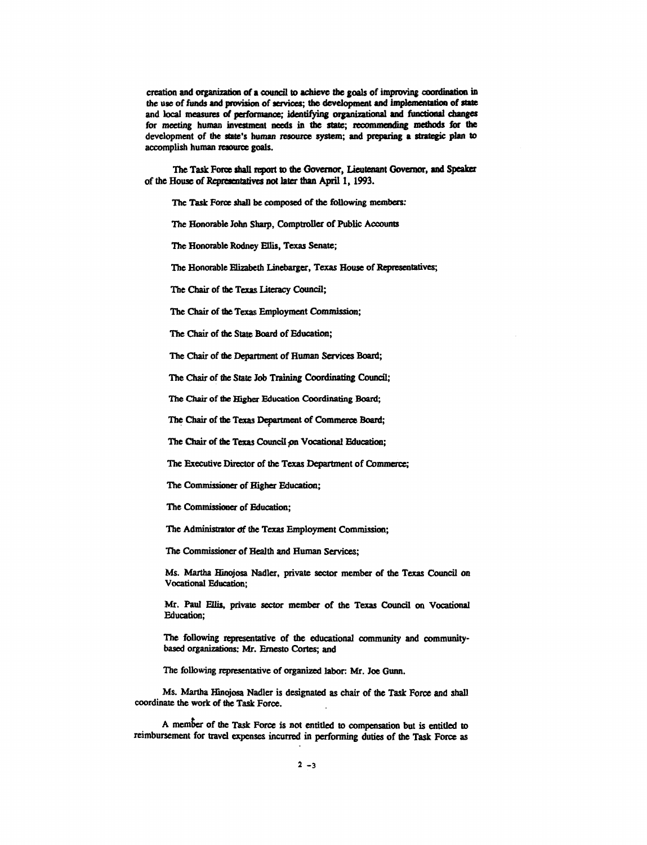creation and organization of a council to achieve the goals of improving coordination in the use of funds and provision of services; the development and implementation of state and local measures of performance; identifying organizational and functional changes for meeting human investment needs in the state; recommending methods for the development of the state's human resource system; and preparing a strategic plan to accomplish human resource goals.

The Task Force shall report to the Governor, Lieutenant Governor, and Speaker of the House of Representatives not later than April 1, 1993.

The Task Force shall be composed of the following members:

The Honorable John Sharp, Comptroller of Public Accounts

The Honorable Rodney Ellis, Texas Senate;

The Honorable Elizabeth Linebarger, Texas House of Representatives;

The Chair of the Texas literacy Council;

The Chair of the Texas Employment Commission;

The Chair of the State Board of Education;

The Chair of the Department of Human Services Board;

The Chair of the State Job Training Coordinating Council;

The Chair of die Higher Education Coordinating Board;

The Chair of the Texas Department of Commerce Board;

The Chair of the Texas Council on Vocational Education;

The Executive Director of the Texas Department of Commerce;

The Commissioner of Higher Education;

The Commissioner of Education;

The Administrator of the Texas Employment Commission;

The Commissioner of Health and Human Services;

Ms. Martha Hinojosa Nadler, private sector member of the Texas Council on Vocational Education;

Mr. Paul Ellis, private sector member of the Texas Council on Vocational Education;

The following representative of the educational community and communitybased organizations: Mr. Emesto Cortes; and

The following representative of organized labor: Mr. Joe Gunn.

Ms. Martha Hinojosa Nadler is designated as chair of the Task Force and shall coordinate the work of the Task Force.

A member of the Task Force is not entitled to compensation but is entitled to reimbursement for travel expenses incurred in performing duties of the Task Force as